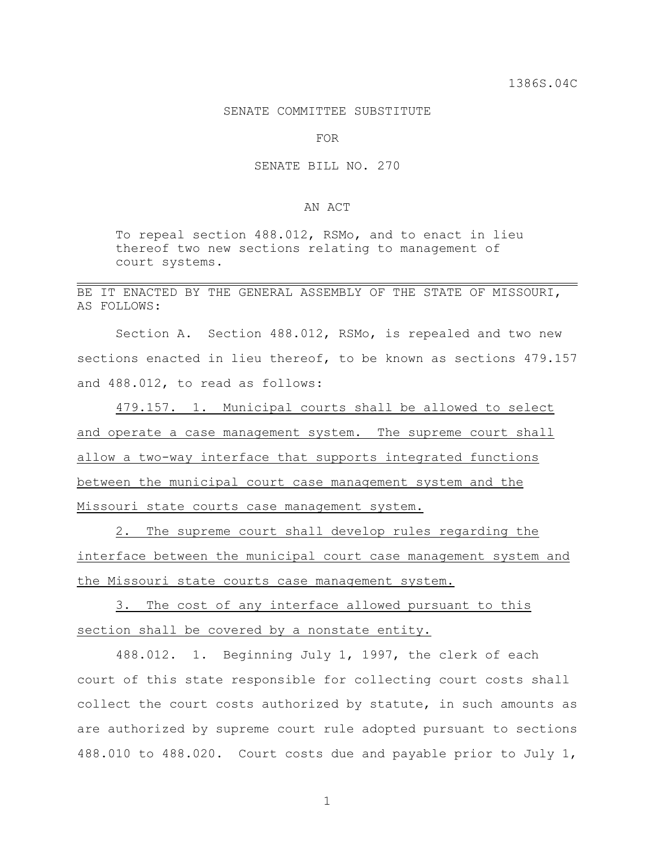## SENATE COMMITTEE SUBSTITUTE

FOR

## SENATE BILL NO. 270

## AN ACT

To repeal section 488.012, RSMo, and to enact in lieu thereof two new sections relating to management of court systems.

## BE IT ENACTED BY THE GENERAL ASSEMBLY OF THE STATE OF MISSOURI, AS FOLLOWS:

Section A. Section 488.012, RSMo, is repealed and two new sections enacted in lieu thereof, to be known as sections 479.157 and 488.012, to read as follows:

479.157. 1. Municipal courts shall be allowed to select and operate a case management system. The supreme court shall allow a two-way interface that supports integrated functions between the municipal court case management system and the Missouri state courts case management system.

2. The supreme court shall develop rules regarding the interface between the municipal court case management system and the Missouri state courts case management system.

3. The cost of any interface allowed pursuant to this section shall be covered by a nonstate entity.

488.012. 1. Beginning July 1, 1997, the clerk of each court of this state responsible for collecting court costs shall collect the court costs authorized by statute, in such amounts as are authorized by supreme court rule adopted pursuant to sections 488.010 to 488.020. Court costs due and payable prior to July 1,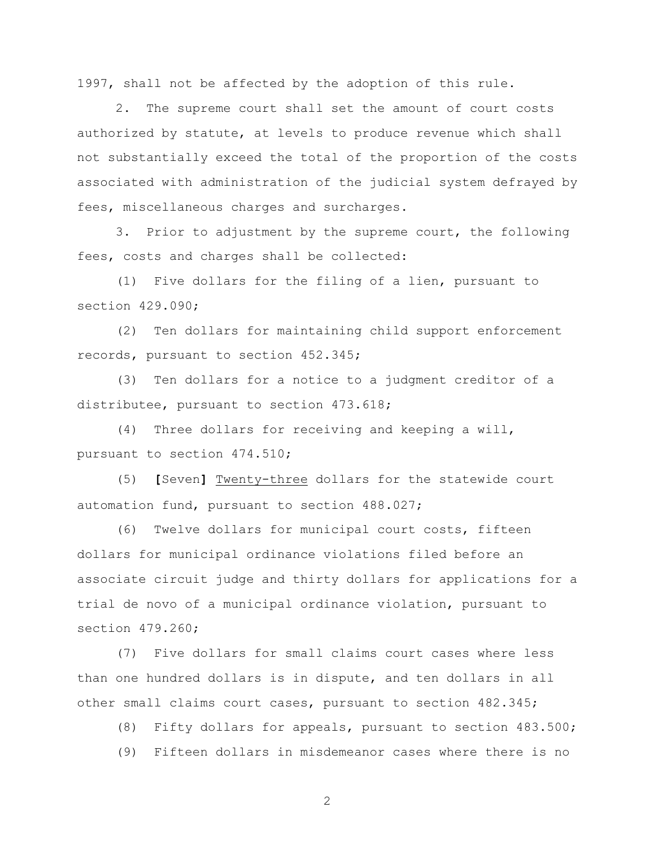1997, shall not be affected by the adoption of this rule.

2. The supreme court shall set the amount of court costs authorized by statute, at levels to produce revenue which shall not substantially exceed the total of the proportion of the costs associated with administration of the judicial system defrayed by fees, miscellaneous charges and surcharges.

3. Prior to adjustment by the supreme court, the following fees, costs and charges shall be collected:

(1) Five dollars for the filing of a lien, pursuant to section 429.090;

(2) Ten dollars for maintaining child support enforcement records, pursuant to section 452.345;

(3) Ten dollars for a notice to a judgment creditor of a distributee, pursuant to section 473.618;

(4) Three dollars for receiving and keeping a will, pursuant to section 474.510;

(5) **[**Seven**]** Twenty-three dollars for the statewide court automation fund, pursuant to section 488.027;

(6) Twelve dollars for municipal court costs, fifteen dollars for municipal ordinance violations filed before an associate circuit judge and thirty dollars for applications for a trial de novo of a municipal ordinance violation, pursuant to section 479.260;

(7) Five dollars for small claims court cases where less than one hundred dollars is in dispute, and ten dollars in all other small claims court cases, pursuant to section 482.345;

(8) Fifty dollars for appeals, pursuant to section 483.500;

(9) Fifteen dollars in misdemeanor cases where there is no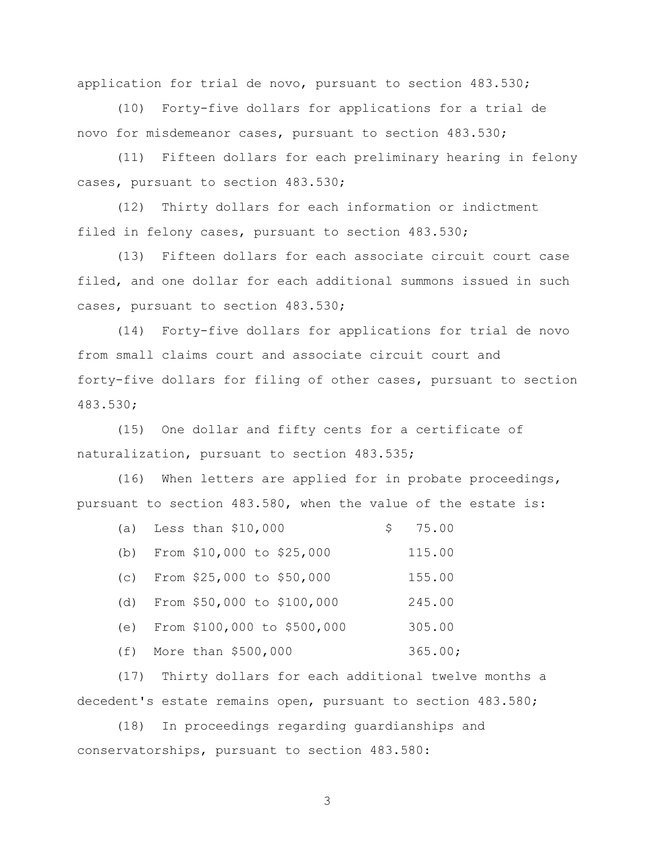application for trial de novo, pursuant to section 483.530;

(10) Forty-five dollars for applications for a trial de novo for misdemeanor cases, pursuant to section 483.530;

(11) Fifteen dollars for each preliminary hearing in felony cases, pursuant to section 483.530;

(12) Thirty dollars for each information or indictment filed in felony cases, pursuant to section 483.530;

(13) Fifteen dollars for each associate circuit court case filed, and one dollar for each additional summons issued in such cases, pursuant to section 483.530;

(14) Forty-five dollars for applications for trial de novo from small claims court and associate circuit court and forty-five dollars for filing of other cases, pursuant to section 483.530;

(15) One dollar and fifty cents for a certificate of naturalization, pursuant to section 483.535;

(16) When letters are applied for in probate proceedings, pursuant to section 483.580, when the value of the estate is:

|     | (a) Less than $$10,000$        | 75.00   |
|-----|--------------------------------|---------|
| (b) | From \$10,000 to \$25,000      | 115.00  |
| (C) | From \$25,000 to \$50,000      | 155.00  |
|     | (d) From \$50,000 to \$100,000 | 245.00  |
| (e) | From \$100,000 to \$500,000    | 305.00  |
|     | $(f)$ More than \$500,000      | 365.00; |

(17) Thirty dollars for each additional twelve months a decedent's estate remains open, pursuant to section 483.580;

(18) In proceedings regarding guardianships and conservatorships, pursuant to section 483.580: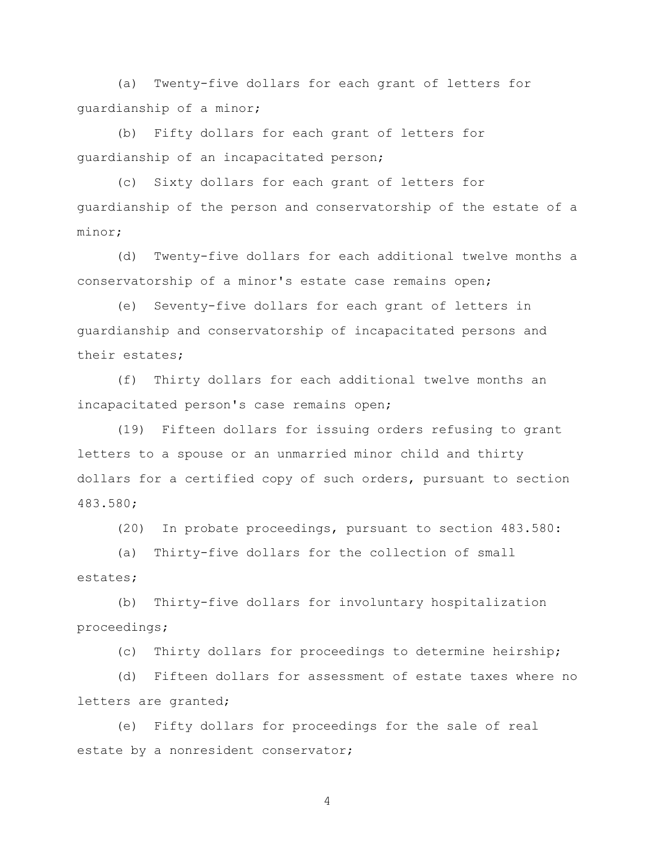(a) Twenty-five dollars for each grant of letters for guardianship of a minor;

(b) Fifty dollars for each grant of letters for guardianship of an incapacitated person;

(c) Sixty dollars for each grant of letters for guardianship of the person and conservatorship of the estate of a minor;

(d) Twenty-five dollars for each additional twelve months a conservatorship of a minor's estate case remains open;

(e) Seventy-five dollars for each grant of letters in guardianship and conservatorship of incapacitated persons and their estates;

(f) Thirty dollars for each additional twelve months an incapacitated person's case remains open;

(19) Fifteen dollars for issuing orders refusing to grant letters to a spouse or an unmarried minor child and thirty dollars for a certified copy of such orders, pursuant to section 483.580;

(20) In probate proceedings, pursuant to section 483.580:

(a) Thirty-five dollars for the collection of small estates;

(b) Thirty-five dollars for involuntary hospitalization proceedings;

(c) Thirty dollars for proceedings to determine heirship;

(d) Fifteen dollars for assessment of estate taxes where no letters are granted;

(e) Fifty dollars for proceedings for the sale of real estate by a nonresident conservator;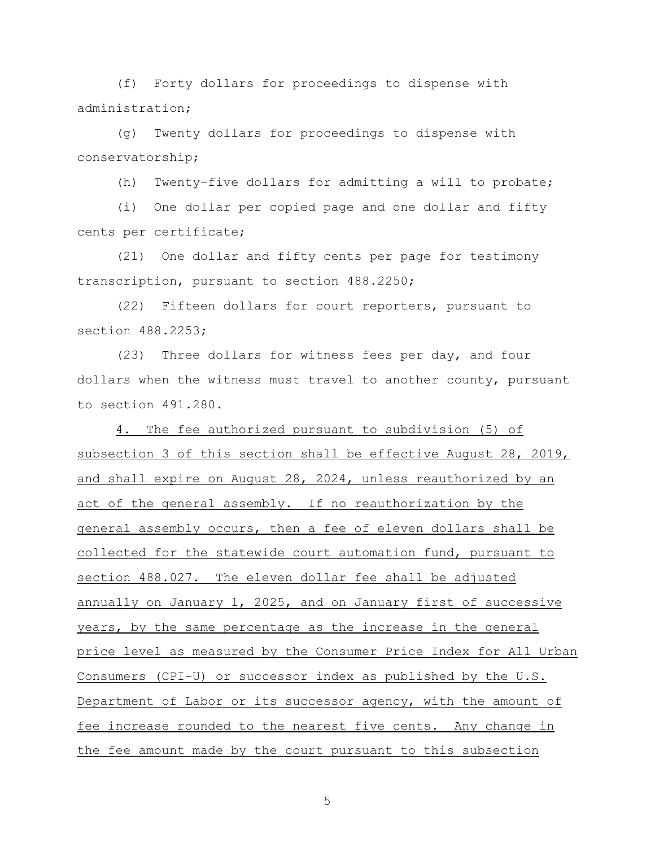(f) Forty dollars for proceedings to dispense with administration;

(g) Twenty dollars for proceedings to dispense with conservatorship;

(h) Twenty-five dollars for admitting a will to probate;

(i) One dollar per copied page and one dollar and fifty cents per certificate;

(21) One dollar and fifty cents per page for testimony transcription, pursuant to section 488.2250;

(22) Fifteen dollars for court reporters, pursuant to section 488.2253;

(23) Three dollars for witness fees per day, and four dollars when the witness must travel to another county, pursuant to section 491.280.

4. The fee authorized pursuant to subdivision (5) of subsection 3 of this section shall be effective August 28, 2019, and shall expire on August 28, 2024, unless reauthorized by an act of the general assembly. If no reauthorization by the general assembly occurs, then a fee of eleven dollars shall be collected for the statewide court automation fund, pursuant to section 488.027. The eleven dollar fee shall be adjusted annually on January 1, 2025, and on January first of successive years, by the same percentage as the increase in the general price level as measured by the Consumer Price Index for All Urban Consumers (CPI-U) or successor index as published by the U.S. Department of Labor or its successor agency, with the amount of fee increase rounded to the nearest five cents. Any change in the fee amount made by the court pursuant to this subsection